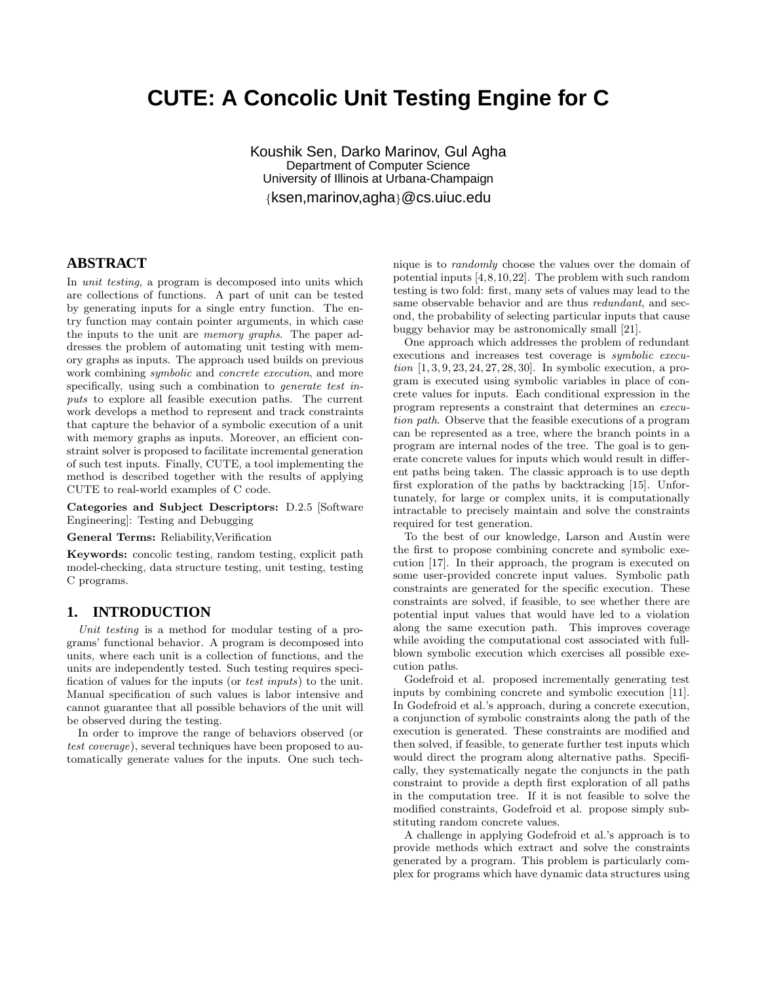# **CUTE: A Concolic Unit Testing Engine for C**

Koushik Sen, Darko Marinov, Gul Agha Department of Computer Science University of Illinois at Urbana-Champaign {ksen,marinov,agha}@cs.uiuc.edu

# **ABSTRACT**

In unit testing, a program is decomposed into units which are collections of functions. A part of unit can be tested by generating inputs for a single entry function. The entry function may contain pointer arguments, in which case the inputs to the unit are memory graphs. The paper addresses the problem of automating unit testing with memory graphs as inputs. The approach used builds on previous work combining *symbolic* and *concrete execution*, and more specifically, using such a combination to *generate test in*puts to explore all feasible execution paths. The current work develops a method to represent and track constraints that capture the behavior of a symbolic execution of a unit with memory graphs as inputs. Moreover, an efficient constraint solver is proposed to facilitate incremental generation of such test inputs. Finally, CUTE, a tool implementing the method is described together with the results of applying CUTE to real-world examples of C code.

Categories and Subject Descriptors: D.2.5 [Software Engineering]: Testing and Debugging

General Terms: Reliability,Verification

Keywords: concolic testing, random testing, explicit path model-checking, data structure testing, unit testing, testing C programs.

# **1. INTRODUCTION**

Unit testing is a method for modular testing of a programs' functional behavior. A program is decomposed into units, where each unit is a collection of functions, and the units are independently tested. Such testing requires specification of values for the inputs (or test inputs) to the unit. Manual specification of such values is labor intensive and cannot guarantee that all possible behaviors of the unit will be observed during the testing.

In order to improve the range of behaviors observed (or test coverage), several techniques have been proposed to automatically generate values for the inputs. One such technique is to randomly choose the values over the domain of potential inputs [4,8,10,22]. The problem with such random testing is two fold: first, many sets of values may lead to the same observable behavior and are thus *redundant*, and second, the probability of selecting particular inputs that cause buggy behavior may be astronomically small [21].

One approach which addresses the problem of redundant executions and increases test coverage is symbolic execution [1, 3, 9, 23, 24, 27, 28, 30]. In symbolic execution, a program is executed using symbolic variables in place of concrete values for inputs. Each conditional expression in the program represents a constraint that determines an execution path. Observe that the feasible executions of a program can be represented as a tree, where the branch points in a program are internal nodes of the tree. The goal is to generate concrete values for inputs which would result in different paths being taken. The classic approach is to use depth first exploration of the paths by backtracking [15]. Unfortunately, for large or complex units, it is computationally intractable to precisely maintain and solve the constraints required for test generation.

To the best of our knowledge, Larson and Austin were the first to propose combining concrete and symbolic execution [17]. In their approach, the program is executed on some user-provided concrete input values. Symbolic path constraints are generated for the specific execution. These constraints are solved, if feasible, to see whether there are potential input values that would have led to a violation along the same execution path. This improves coverage while avoiding the computational cost associated with fullblown symbolic execution which exercises all possible execution paths.

Godefroid et al. proposed incrementally generating test inputs by combining concrete and symbolic execution [11]. In Godefroid et al.'s approach, during a concrete execution, a conjunction of symbolic constraints along the path of the execution is generated. These constraints are modified and then solved, if feasible, to generate further test inputs which would direct the program along alternative paths. Specifically, they systematically negate the conjuncts in the path constraint to provide a depth first exploration of all paths in the computation tree. If it is not feasible to solve the modified constraints, Godefroid et al. propose simply substituting random concrete values.

A challenge in applying Godefroid et al.'s approach is to provide methods which extract and solve the constraints generated by a program. This problem is particularly complex for programs which have dynamic data structures using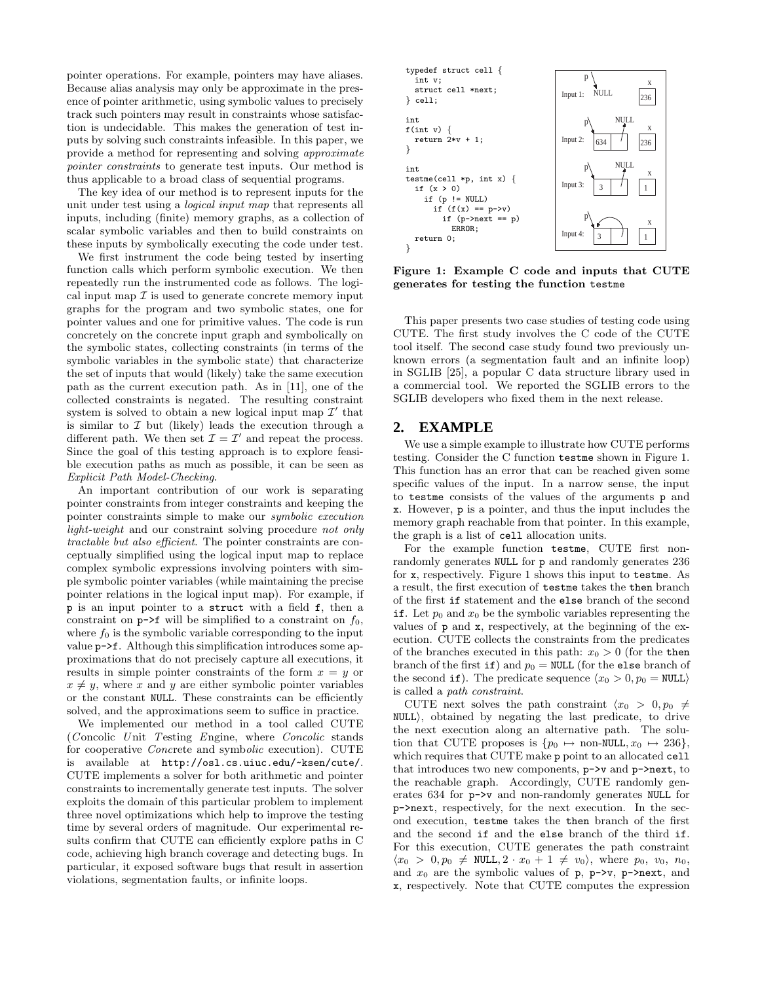pointer operations. For example, pointers may have aliases. Because alias analysis may only be approximate in the presence of pointer arithmetic, using symbolic values to precisely track such pointers may result in constraints whose satisfaction is undecidable. This makes the generation of test inputs by solving such constraints infeasible. In this paper, we provide a method for representing and solving approximate pointer constraints to generate test inputs. Our method is thus applicable to a broad class of sequential programs.

The key idea of our method is to represent inputs for the unit under test using a logical input map that represents all inputs, including (finite) memory graphs, as a collection of scalar symbolic variables and then to build constraints on these inputs by symbolically executing the code under test.

We first instrument the code being tested by inserting function calls which perform symbolic execution. We then repeatedly run the instrumented code as follows. The logical input map  $\mathcal I$  is used to generate concrete memory input graphs for the program and two symbolic states, one for pointer values and one for primitive values. The code is run concretely on the concrete input graph and symbolically on the symbolic states, collecting constraints (in terms of the symbolic variables in the symbolic state) that characterize the set of inputs that would (likely) take the same execution path as the current execution path. As in [11], one of the collected constraints is negated. The resulting constraint system is solved to obtain a new logical input map  $\mathcal{I}'$  that is similar to  $\mathcal I$  but (likely) leads the execution through a different path. We then set  $\mathcal{I} = \mathcal{I}'$  and repeat the process. Since the goal of this testing approach is to explore feasible execution paths as much as possible, it can be seen as Explicit Path Model-Checking.

An important contribution of our work is separating pointer constraints from integer constraints and keeping the pointer constraints simple to make our symbolic execution light-weight and our constraint solving procedure not only tractable but also efficient. The pointer constraints are conceptually simplified using the logical input map to replace complex symbolic expressions involving pointers with simple symbolic pointer variables (while maintaining the precise pointer relations in the logical input map). For example, if p is an input pointer to a struct with a field f, then a constraint on  $p\rightarrow f$  will be simplified to a constraint on  $f_0$ , where  $f_0$  is the symbolic variable corresponding to the input value p->f. Although this simplification introduces some approximations that do not precisely capture all executions, it results in simple pointer constraints of the form  $x = y$  or  $x \neq y$ , where x and y are either symbolic pointer variables or the constant NULL. These constraints can be efficiently solved, and the approximations seem to suffice in practice.

We implemented our method in a tool called CUTE (Concolic Unit Testing Engine, where Concolic stands) for cooperative Concrete and symbolic execution). CUTE is available at http://osl.cs.uiuc.edu/~ksen/cute/. CUTE implements a solver for both arithmetic and pointer constraints to incrementally generate test inputs. The solver exploits the domain of this particular problem to implement three novel optimizations which help to improve the testing time by several orders of magnitude. Our experimental results confirm that CUTE can efficiently explore paths in C code, achieving high branch coverage and detecting bugs. In particular, it exposed software bugs that result in assertion violations, segmentation faults, or infinite loops.



Figure 1: Example C code and inputs that CUTE generates for testing the function testme

This paper presents two case studies of testing code using CUTE. The first study involves the C code of the CUTE tool itself. The second case study found two previously unknown errors (a segmentation fault and an infinite loop) in SGLIB [25], a popular C data structure library used in a commercial tool. We reported the SGLIB errors to the SGLIB developers who fixed them in the next release.

# **2. EXAMPLE**

We use a simple example to illustrate how CUTE performs testing. Consider the C function testme shown in Figure 1. This function has an error that can be reached given some specific values of the input. In a narrow sense, the input to testme consists of the values of the arguments p and x. However, p is a pointer, and thus the input includes the memory graph reachable from that pointer. In this example, the graph is a list of cell allocation units.

For the example function testme, CUTE first nonrandomly generates NULL for p and randomly generates 236 for x, respectively. Figure 1 shows this input to testme. As a result, the first execution of testme takes the then branch of the first if statement and the else branch of the second if. Let  $p_0$  and  $x_0$  be the symbolic variables representing the values of p and x, respectively, at the beginning of the execution. CUTE collects the constraints from the predicates of the branches executed in this path:  $x_0 > 0$  (for the then branch of the first if) and  $p_0 = \text{NULL}$  (for the else branch of the second if). The predicate sequence  $\langle x_0 > 0, p_0 = \text{NULL} \rangle$ is called a path constraint.

CUTE next solves the path constraint  $\langle x_0 \rangle > 0, p_0 \neq$ NULL), obtained by negating the last predicate, to drive the next execution along an alternative path. The solution that CUTE proposes is  $\{p_0 \mapsto \text{non-NULL}, x_0 \mapsto 236\},\$ which requires that CUTE make p point to an allocated cell that introduces two new components, p->v and p->next, to the reachable graph. Accordingly, CUTE randomly generates 634 for p->v and non-randomly generates NULL for p->next, respectively, for the next execution. In the second execution, testme takes the then branch of the first and the second if and the else branch of the third if. For this execution, CUTE generates the path constraint  $\langle x_0 \rangle > 0, p_0 \neq \text{NULL}, 2 \cdot x_0 + 1 \neq v_0 \rangle$ , where  $p_0, v_0, n_0$ , and  $x_0$  are the symbolic values of p, p- $\nu$ , p- $\nu$ , and x, respectively. Note that CUTE computes the expression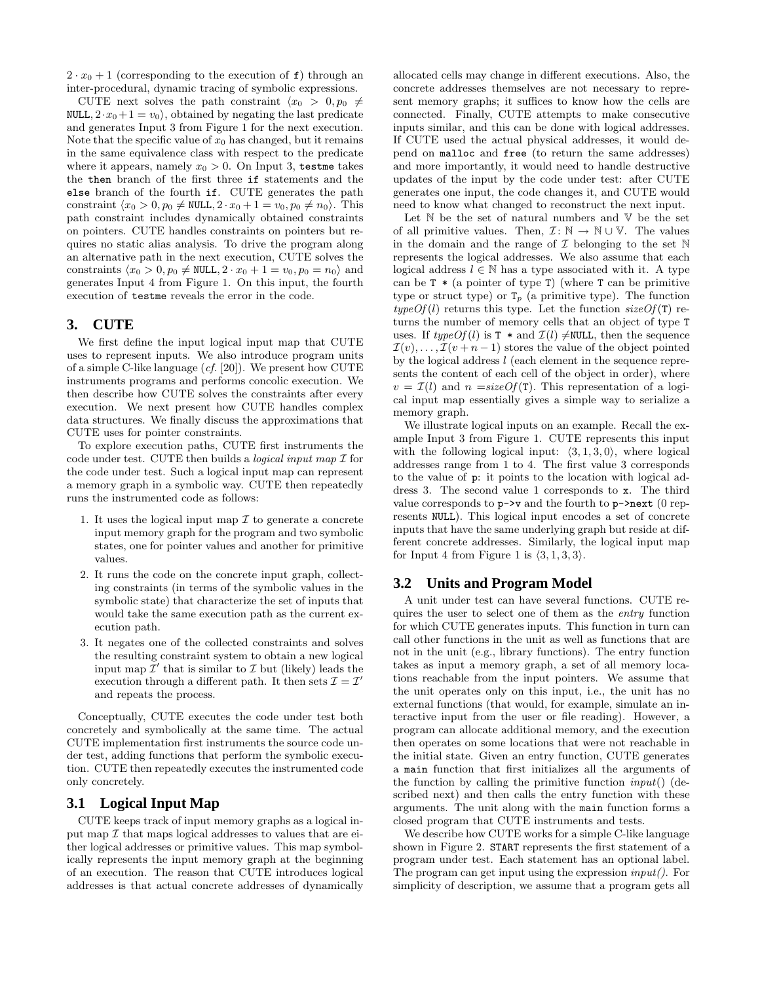$2 \cdot x_0 + 1$  (corresponding to the execution of f) through an inter-procedural, dynamic tracing of symbolic expressions.

CUTE next solves the path constraint  $\langle x_0 \rangle > 0, p_0 \neq$ NULL,  $2 \cdot x_0 + 1 = v_0$ , obtained by negating the last predicate and generates Input 3 from Figure 1 for the next execution. Note that the specific value of  $x_0$  has changed, but it remains in the same equivalence class with respect to the predicate where it appears, namely  $x_0 > 0$ . On Input 3, testme takes the then branch of the first three if statements and the else branch of the fourth if. CUTE generates the path constraint  $\langle x_0 \rangle 0, p_0 \neq \text{NULL}, 2 \cdot x_0 + 1 = v_0, p_0 \neq n_0$ . This path constraint includes dynamically obtained constraints on pointers. CUTE handles constraints on pointers but requires no static alias analysis. To drive the program along an alternative path in the next execution, CUTE solves the constraints  $\langle x_0 \rangle 0$ ,  $p_0 \neq \text{NULL}, 2 \cdot x_0 + 1 = v_0, p_0 = n_0$  and generates Input 4 from Figure 1. On this input, the fourth execution of testme reveals the error in the code.

# **3. CUTE**

We first define the input logical input map that CUTE uses to represent inputs. We also introduce program units of a simple C-like language  $(cf. [20])$ . We present how CUTE instruments programs and performs concolic execution. We then describe how CUTE solves the constraints after every execution. We next present how CUTE handles complex data structures. We finally discuss the approximations that CUTE uses for pointer constraints.

To explore execution paths, CUTE first instruments the code under test. CUTE then builds a *logical input map*  $\mathcal I$  for the code under test. Such a logical input map can represent a memory graph in a symbolic way. CUTE then repeatedly runs the instrumented code as follows:

- 1. It uses the logical input map  $\mathcal I$  to generate a concrete input memory graph for the program and two symbolic states, one for pointer values and another for primitive values.
- 2. It runs the code on the concrete input graph, collecting constraints (in terms of the symbolic values in the symbolic state) that characterize the set of inputs that would take the same execution path as the current execution path.
- 3. It negates one of the collected constraints and solves the resulting constraint system to obtain a new logical input map  $\overline{\mathcal{I}}'$  that is similar to  $\mathcal I$  but (likely) leads the execution through a different path. It then sets  $\mathcal{I} = \mathcal{I}'$ and repeats the process.

Conceptually, CUTE executes the code under test both concretely and symbolically at the same time. The actual CUTE implementation first instruments the source code under test, adding functions that perform the symbolic execution. CUTE then repeatedly executes the instrumented code only concretely.

# **3.1 Logical Input Map**

CUTE keeps track of input memory graphs as a logical input map  $\mathcal I$  that maps logical addresses to values that are either logical addresses or primitive values. This map symbolically represents the input memory graph at the beginning of an execution. The reason that CUTE introduces logical addresses is that actual concrete addresses of dynamically allocated cells may change in different executions. Also, the concrete addresses themselves are not necessary to represent memory graphs; it suffices to know how the cells are connected. Finally, CUTE attempts to make consecutive inputs similar, and this can be done with logical addresses. If CUTE used the actual physical addresses, it would depend on malloc and free (to return the same addresses) and more importantly, it would need to handle destructive updates of the input by the code under test: after CUTE generates one input, the code changes it, and CUTE would need to know what changed to reconstruct the next input.

Let  $\mathbb N$  be the set of natural numbers and  $\mathbb V$  be the set of all primitive values. Then,  $\mathcal{I}: \mathbb{N} \to \mathbb{N} \cup \mathbb{V}$ . The values in the domain and the range of  $\mathcal I$  belonging to the set  $\mathbb N$ represents the logical addresses. We also assume that each logical address  $l \in \mathbb{N}$  has a type associated with it. A type can be  $T * (a$  pointer of type  $T)$  (where  $T$  can be primitive type or struct type) or  $T_p$  (a primitive type). The function  $typeOf(l)$  returns this type. Let the function  $sizeOf(T)$  returns the number of memory cells that an object of type T uses. If  $typeOf(l)$  is T  $*$  and  $\mathcal{I}(l) \neq \text{NULL}$ , then the sequence  $\mathcal{I}(v), \ldots, \mathcal{I}(v+n-1)$  stores the value of the object pointed by the logical address l (each element in the sequence represents the content of each cell of the object in order), where  $v = \mathcal{I}(l)$  and  $n = sizeOf(\mathcal{T})$ . This representation of a logical input map essentially gives a simple way to serialize a memory graph.

We illustrate logical inputs on an example. Recall the example Input 3 from Figure 1. CUTE represents this input with the following logical input:  $\langle 3, 1, 3, 0 \rangle$ , where logical addresses range from 1 to 4. The first value 3 corresponds to the value of p: it points to the location with logical address 3. The second value 1 corresponds to x. The third value corresponds to  $p\rightarrow v$  and the fourth to  $p\rightarrow$ next (0 represents NULL). This logical input encodes a set of concrete inputs that have the same underlying graph but reside at different concrete addresses. Similarly, the logical input map for Input 4 from Figure 1 is  $\langle 3, 1, 3, 3 \rangle$ .

# **3.2 Units and Program Model**

A unit under test can have several functions. CUTE requires the user to select one of them as the entry function for which CUTE generates inputs. This function in turn can call other functions in the unit as well as functions that are not in the unit (e.g., library functions). The entry function takes as input a memory graph, a set of all memory locations reachable from the input pointers. We assume that the unit operates only on this input, i.e., the unit has no external functions (that would, for example, simulate an interactive input from the user or file reading). However, a program can allocate additional memory, and the execution then operates on some locations that were not reachable in the initial state. Given an entry function, CUTE generates a main function that first initializes all the arguments of the function by calling the primitive function  $input()$  (described next) and then calls the entry function with these arguments. The unit along with the main function forms a closed program that CUTE instruments and tests.

We describe how CUTE works for a simple C-like language shown in Figure 2. START represents the first statement of a program under test. Each statement has an optional label. The program can get input using the expression  $input()$ . For simplicity of description, we assume that a program gets all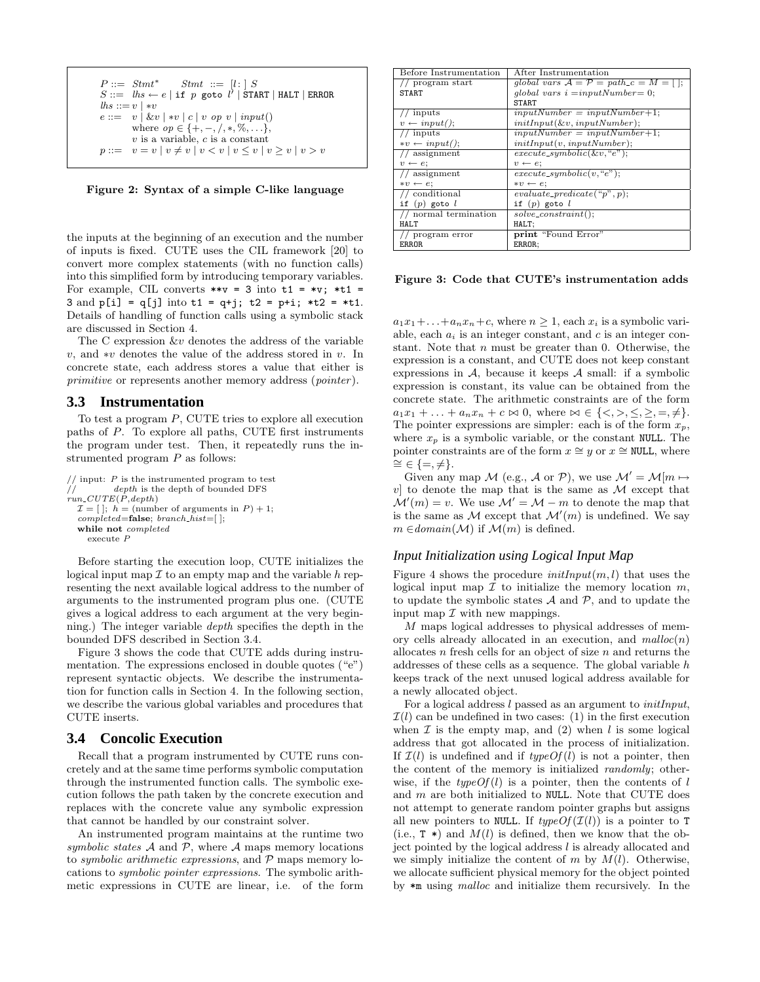```
P ::= \textit{Stmt}^* \quad \textit{Stmt} ::= [l: | S]S ::= \overline{lhs} \leftarrow e | \text{ if } p \text{ goto } l' | \text{ START} | \text{HALT} | \text{ERROR}\ln s ::= v \mid *ve ::= v | \&v | *v | c | v op v | input()where op \in \{+, -, /, *, \%, \ldots\},\v is a variable, c is a constant
p ::= v = v | v \neq v | v < v | v \leq v | v \geq v | v > v
```
Figure 2: Syntax of a simple C-like language

the inputs at the beginning of an execution and the number of inputs is fixed. CUTE uses the CIL framework [20] to convert more complex statements (with no function calls) into this simplified form by introducing temporary variables. For example, CIL converts  $**v = 3$  into  $t1 = *v$ ;  $*t1 =$ 3 and  $p[i] = q[j]$  into  $t1 = q+j$ ;  $t2 = p+i$ ;  $*t2 = *t1$ . Details of handling of function calls using a symbolic stack are discussed in Section 4.

The C expression &v denotes the address of the variable v, and ∗v denotes the value of the address stored in v. In concrete state, each address stores a value that either is primitive or represents another memory address (pointer).

## **3.3 Instrumentation**

To test a program P, CUTE tries to explore all execution paths of P. To explore all paths, CUTE first instruments the program under test. Then, it repeatedly runs the instrumented program  $P$  as follows:

```
/ input: P is the instrumented program to test
            depth is the depth of bounded DFS
\hat{r}un_CUTE(\hat{P}, depth)\mathcal{I} = [ \ ]: h = (number of arguments in P) + 1;\textit{compiled}=\textbf{false}; \textit{branch\_hist}=\text{[ } ];
  while not completed
     execute P
```
Before starting the execution loop, CUTE initializes the logical input map  $\mathcal I$  to an empty map and the variable h representing the next available logical address to the number of arguments to the instrumented program plus one. (CUTE gives a logical address to each argument at the very beginning.) The integer variable depth specifies the depth in the bounded DFS described in Section 3.4.

Figure 3 shows the code that CUTE adds during instrumentation. The expressions enclosed in double quotes  $($ "e") represent syntactic objects. We describe the instrumentation for function calls in Section 4. In the following section, we describe the various global variables and procedures that CUTE inserts.

# **3.4 Concolic Execution**

Recall that a program instrumented by CUTE runs concretely and at the same time performs symbolic computation through the instrumented function calls. The symbolic execution follows the path taken by the concrete execution and replaces with the concrete value any symbolic expression that cannot be handled by our constraint solver.

An instrumented program maintains at the runtime two symbolic states  $A$  and  $P$ , where  $A$  maps memory locations to symbolic arithmetic expressions, and  $P$  maps memory locations to symbolic pointer expressions. The symbolic arithmetic expressions in CUTE are linear, i.e. of the form

| Before Instrumentation       | After Instrumentation                              |  |  |  |  |
|------------------------------|----------------------------------------------------|--|--|--|--|
| // program start             | qlobal vars $A = \overline{P} = path_c = M = []$ ; |  |  |  |  |
| <b>START</b>                 | qlobal vars $i = inputNumber = 0$ ;                |  |  |  |  |
|                              | <b>START</b>                                       |  |  |  |  |
| // inputs                    | $inputNumber = inputNumber + 1;$                   |  |  |  |  |
| $v \leftarrow input();$      | $initInput(\&v, inputNumber);$                     |  |  |  |  |
| $//$ inputs                  | $inputNumber = inputNumber + 1;$                   |  |  |  |  |
| $\ast v \leftarrow input($ : | initInput(v, inputNumber);                         |  |  |  |  |
| $//$ assignment              | $execute\_symbol(c(\&v, "e");$                     |  |  |  |  |
| $v \leftarrow e$ ;           | $v \leftarrow e$                                   |  |  |  |  |
| // assignment                | $execute\_symbol(c, "e");$                         |  |  |  |  |
| $* v \leftarrow e$           | $* v \leftarrow e$                                 |  |  |  |  |
| // conditional               | $evaluate\_predicate("p", p);$                     |  |  |  |  |
| if $(p)$ goto $l$            | if $(p)$ goto $l$                                  |  |  |  |  |
| $//$ normal termination      | $solve\_constraint$ :                              |  |  |  |  |
| HAL.T                        | HALT;                                              |  |  |  |  |
| program error                | print "Found Error"                                |  |  |  |  |
| ERROR.                       | ERROR:                                             |  |  |  |  |

Figure 3: Code that CUTE's instrumentation adds

 $a_1x_1+\ldots+a_nx_n+c$ , where  $n\geq 1$ , each  $x_i$  is a symbolic variable, each  $a_i$  is an integer constant, and c is an integer constant. Note that  $n$  must be greater than 0. Otherwise, the expression is a constant, and CUTE does not keep constant expressions in  $A$ , because it keeps  $A$  small: if a symbolic expression is constant, its value can be obtained from the concrete state. The arithmetic constraints are of the form  $a_1x_1 + \ldots + a_nx_n + c \bowtie 0$ , where  $\bowtie \in \{ \langle \rangle, \langle \rangle, \langle \rangle, =, \neq \}.$ The pointer expressions are simpler: each is of the form  $x_p$ , where  $x_p$  is a symbolic variable, or the constant NULL. The pointer constraints are of the form  $x \cong y$  or  $x \cong$  NULL, where  $\cong \in \{=, \neq\}.$ 

Given any map M (e.g., A or P), we use  $\mathcal{M}' = \mathcal{M}[m \mapsto$  $v$  to denote the map that is the same as  $\mathcal M$  except that  $\mathcal{M}'(m) = v$ . We use  $\mathcal{M}' = \mathcal{M} - m$  to denote the map that is the same as M except that  $\mathcal{M}'(m)$  is undefined. We say  $m \in domain(\mathcal{M})$  if  $\mathcal{M}(m)$  is defined.

## *Input Initialization using Logical Input Map*

Figure 4 shows the procedure  $initInput(m, l)$  that uses the logical input map  $\mathcal I$  to initialize the memory location  $m$ , to update the symbolic states  $A$  and  $P$ , and to update the input map  $\mathcal I$  with new mappings.

M maps logical addresses to physical addresses of memory cells already allocated in an execution, and  $malloc(n)$ allocates  $n$  fresh cells for an object of size  $n$  and returns the addresses of these cells as a sequence. The global variable h keeps track of the next unused logical address available for a newly allocated object.

For a logical address l passed as an argument to initInput,  $\mathcal{I}(l)$  can be undefined in two cases: (1) in the first execution when  $\mathcal I$  is the empty map, and (2) when l is some logical address that got allocated in the process of initialization. If  $\mathcal{I}(l)$  is undefined and if  $typeOf(l)$  is not a pointer, then the content of the memory is initialized randomly; otherwise, if the  $typeOf(l)$  is a pointer, then the contents of l and  $m$  are both initialized to NULL. Note that CUTE does not attempt to generate random pointer graphs but assigns all new pointers to NULL. If  $typeOf(\mathcal{I}(l))$  is a pointer to T (i.e.,  $T *$ ) and  $M(l)$  is defined, then we know that the object pointed by the logical address l is already allocated and we simply initialize the content of  $m$  by  $M(l)$ . Otherwise, we allocate sufficient physical memory for the object pointed by \*m using malloc and initialize them recursively. In the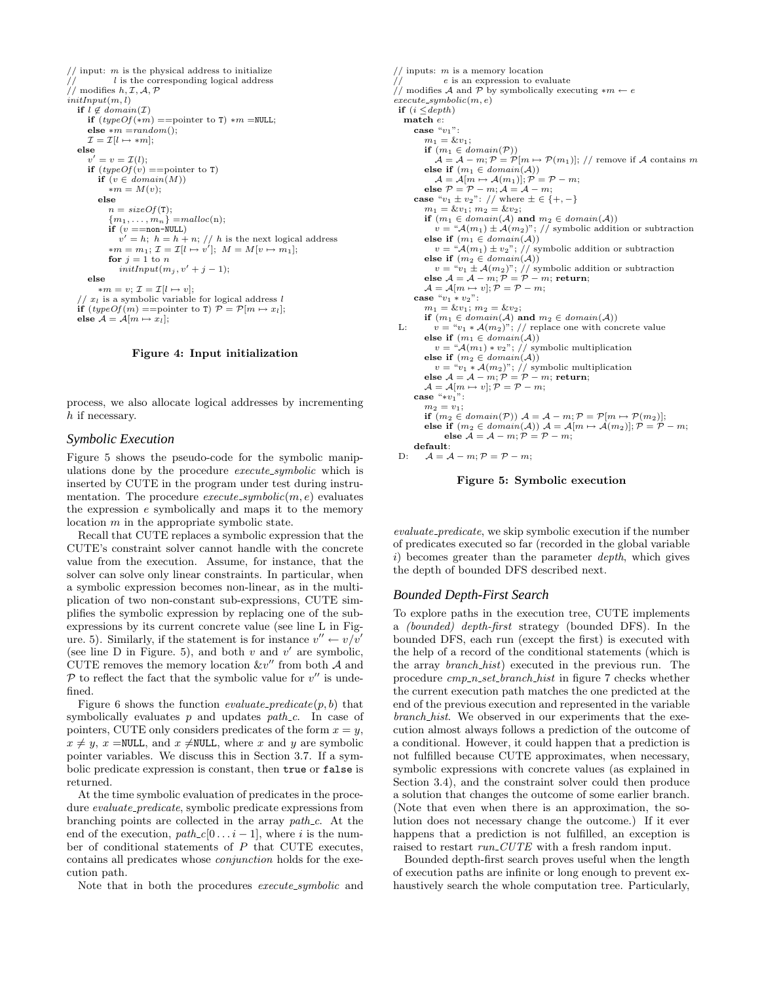$//$  input: m is the physical address to initialize  $l$  is the corresponding logical address //  $l$  is the cor<br>// modifies  $h, \mathcal{I}, \mathcal{A}, \mathcal{P}$  $initInput(m, l)$ if  $l \notin domain(\mathcal{I})$ if  $(typeOf(*m) ==$ pointer to T) \* $m =$ NULL; else  $*m = random()$ ;  $\mathcal{I} = \mathcal{I}[l \mapsto *m];$ else  $v' = v = \mathcal{I}(l);$ if  $(typeOf(v))$  ==pointer to T) if  $(v \in domain(M))$ ∗m = M(v); else  $n = sizeOf(T);$  ${m_1, \ldots, m_n} = malloc(n);$ if  $(v == non-NULL)$  $v' = h$ ;  $h = h + n$ ; // h is the next logical address  $*m = m_1; \mathcal{I} = \mathcal{I}[l \mapsto v']; \; M = M[v \mapsto m_1];$ for  $i = 1$  to n  $\label{eq:1} \begin{aligned} \textit{initInput}(m_j, v'+j-1); \end{aligned}$ else  $*m = v; \mathcal{I} = \mathcal{I}[l \mapsto v];$ //  $x_l$  is a symbolic variable for logical address l<br>if  $(typeOf(m) ==$ pointer to T)  $P = P[m \mapsto x_l];$ else  $\mathcal{A} = \mathcal{A}[m \mapsto x_l];$ 

#### Figure 4: Input initialization

process, we also allocate logical addresses by incrementing h if necessary.

## *Symbolic Execution*

Figure 5 shows the pseudo-code for the symbolic manipulations done by the procedure execute\_symbolic which is inserted by CUTE in the program under test during instrumentation. The procedure  $execute\_symbolic(m, e)$  evaluates the expression e symbolically and maps it to the memory location m in the appropriate symbolic state.

Recall that CUTE replaces a symbolic expression that the CUTE's constraint solver cannot handle with the concrete value from the execution. Assume, for instance, that the solver can solve only linear constraints. In particular, when a symbolic expression becomes non-linear, as in the multiplication of two non-constant sub-expressions, CUTE simplifies the symbolic expression by replacing one of the subexpressions by its current concrete value (see line L in Figure. 5). Similarly, if the statement is for instance  $v'' \leftarrow v/v'$ (see line D in Figure. 5), and both  $v$  and  $v'$  are symbolic, CUTE removes the memory location  $&v''$  from both  $A$  and  $P$  to reflect the fact that the symbolic value for  $v''$  is undefined.

Figure 6 shows the function *evaluate\_predicate* $(p, b)$  that symbolically evaluates  $p$  and updates path  $c$ . In case of pointers, CUTE only considers predicates of the form  $x = y$ ,  $x \neq y$ ,  $x = \text{NULL}$ , and  $x \neq \text{NULL}$ , where x and y are symbolic pointer variables. We discuss this in Section 3.7. If a symbolic predicate expression is constant, then true or false is returned.

At the time symbolic evaluation of predicates in the procedure *evaluate\_predicate*, symbolic predicate expressions from branching points are collected in the array path<sub>-c</sub>. At the end of the execution,  $path_c[0 \dots i - 1]$ , where i is the number of conditional statements of  $P$  that CUTE executes, contains all predicates whose conjunction holds for the execution path.

Note that in both the procedures execute\_symbolic and

 $\frac{1}{1}$  inputs: *m* is a memory location<br> $\frac{1}{1}$  e is an expression to evaluate // e is an expression to evaluate<br>
// modifies A and P by symbolically executing \*m ← e  $execute\_symbolic(m, e)$ if  $(i \leq depth)$ match e: case  $"v_1"$ :  $m_1 = \&v_1;$ if  $(m_1 \in domain(\mathcal{P}))$  $\mathcal{A} = \mathcal{A} - m$ ;  $\mathcal{P} = \mathcal{P}[m \mapsto \mathcal{P}(m_1)]$ ; // remove if  $\mathcal{A}$  contains m else if  $(m_1 \in domain(\mathcal{A}))$  $\mathcal{A} = \mathcal{A}[m \mapsto \mathcal{A}(m_1)]; \mathcal{P} = \mathcal{P} - m;$ else  $P = P - m$ ;  $\mathcal{A} = \mathcal{A} - m$ ; case " $v_1 \pm v_2$ ": // where  $\pm \in \{+, -\}$  $m_1 = \&v_1; m_2 = \&v_2;$ if  $(m_1 \in domain(\mathcal{A})$  and  $m_2 \in domain(\mathcal{A}))$  $v = \mathcal{A}(m_1) \pm \mathcal{A}(m_2)$ "; // symbolic addition or subtraction else if  $(m_1 \in domain(A))$  $v = \sqrt{\mathcal{A}(m_1) \pm v_2}$ , // symbolic addition or subtraction else if  $(m_2 \in domain(A))$  $v = "v_1 \pm A(m_2)"; //$  symbolic addition or subtraction<br>else  $A = A - m; P = P - m;$  return;  $\mathcal{A} = \mathcal{A}[m \mapsto v]; \mathcal{P} = \mathcal{P} - m;$ case " $v_1 * v_2$ ":  $m_1 = \&v_1; m_2 = \&v_2;$ if  $(m_1 \in domain(\mathcal{A})$  and  $m_2 \in domain(\mathcal{A}))$ L:  $v = "v_1 * \mathcal{A}(m_2)"$ ; // replace one with concrete value else if  $(m_1 \in domain(\mathcal{A}))$  $v = \mathcal{A}(m_1) * v_2$ "; // symbolic multiplication<br>else if  $(m_2 \in domain(\mathcal{A}))$  $v = "v_1 * \mathcal{A}(m_2)"; // \text{ symbolic multiplication}$ <br>else  $\mathcal{A} = \mathcal{A} - m; \mathcal{P} = \mathcal{P} - m; \text{return};$  $\mathcal{A} = \mathcal{A}[m \mapsto v]; \mathcal{P} = \mathcal{P} - m;$ case " $*v_1$ ":  $m_2 = v_1$ : if  $(m_2 \in domain(\mathcal{P}))$   $\mathcal{A} = \mathcal{A} - m; \mathcal{P} = \mathcal{P}[m \mapsto \mathcal{P}(m_2)];$ else if  $(m_2 \in domain(\mathcal{A}))$   $\mathcal{A} = \mathcal{A}[m \mapsto \mathcal{A}(m_2)]; \mathcal{P} = \mathcal{P} - m;$ <br>else  $\mathcal{A} = \mathcal{A} - m; \mathcal{P} = \mathcal{P} - m;$ default: D:  $\mathcal{A} = \mathcal{A} - m; \mathcal{P} = \mathcal{P} - m;$ 



evaluate predicate, we skip symbolic execution if the number of predicates executed so far (recorded in the global variable  $i)$  becomes greater than the parameter *depth*, which gives the depth of bounded DFS described next.

#### *Bounded Depth-First Search*

To explore paths in the execution tree, CUTE implements a (bounded) depth-first strategy (bounded DFS). In the bounded DFS, each run (except the first) is executed with the help of a record of the conditional statements (which is the array branch hist) executed in the previous run. The procedure cmp n set branch hist in figure 7 checks whether the current execution path matches the one predicted at the end of the previous execution and represented in the variable branch hist. We observed in our experiments that the execution almost always follows a prediction of the outcome of a conditional. However, it could happen that a prediction is not fulfilled because CUTE approximates, when necessary, symbolic expressions with concrete values (as explained in Section 3.4), and the constraint solver could then produce a solution that changes the outcome of some earlier branch. (Note that even when there is an approximation, the solution does not necessary change the outcome.) If it ever happens that a prediction is not fulfilled, an exception is raised to restart run CUTE with a fresh random input.

Bounded depth-first search proves useful when the length of execution paths are infinite or long enough to prevent exhaustively search the whole computation tree. Particularly,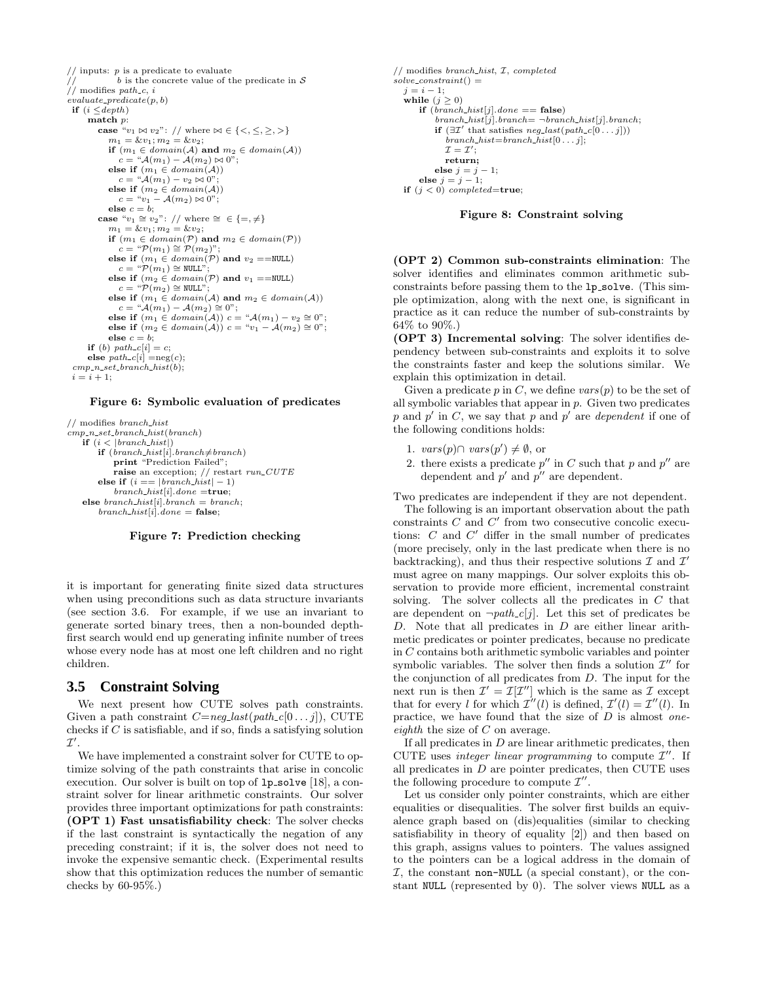$//$  inputs:  $p$  is a predicate to evaluate  $b$  is the concrete value of the predicate in  $\mathcal S$  $\frac{1}{1}$   $\frac{b}{1}$  is the c<br> $\frac{c}{1}$  modifies path c, i  ${evaluate\_predicate(p, b)}$ if  $(i \leq depth)$ match p: case " $v_1 \bowtie v_2$ ": // where  $\bowtie \in \{ \lt, , \leq , \gt, \}$  $m_1 = \&v_1; m_2 = \&v_2;$ if  $(m_1 \in domain(\mathcal{A})$  and  $m_2 \in domain(\mathcal{A}))$  $c = \mathcal{A}(m_1) - \mathcal{A}(m_2) \bowtie 0$ "; else if  $(m_1 \in domain(A))$  $c = \sqrt[u]{\mathcal{A}(m_1) - v_2 \bowtie 0}$ " else if  $(m_2 \in domain(\mathcal{A}))$  $c = "v_1 - A(m_2) \bowtie 0";$ else  $c = b$ ; case " $v_1 \cong v_2$ ": // where  $\cong \in \{=, \neq\}$  $m_1 = \&v_1; m_2 = \&v_2;$ if  $(m_1 \in domain(\mathcal{P})$  and  $m_2 \in domain(\mathcal{P})$  $c = \mathfrak{P}(m_1) \cong \mathfrak{P}(m_2)$ "; else if  $(m_1 \in domain(P)$  and  $v_2 = = NULL$  $c = \sqrt[n]{p(m_1)} \cong \text{NULL}$ else if  $(m_2 \in domain(\mathcal{P})$  and  $v_1 = =$ NULL)  $c = "P(m_2) \cong \texttt{NULL"};$ else if  $(m_1 \in domain(\mathcal{A})$  and  $m_2 \in domain(\mathcal{A}))$  $c = "A(m_1) - A(m_2) \cong 0";$ else if  $(m_1 \in domain(A))$  c = " $\mathcal{A}(m_1) - v_2 \cong 0$ "; else if  $(m_2 \in domain(A))$  c = "v<sub>1</sub> –  $A(m_2) \cong 0$ "; else  $c = b$ ; if (b)  $path_c[i] = c;$ else  $path_c[i] = neg(c);$  $cmp\_n_set\_branch\_hist(b);$  $i = i + 1$ ;

Figure 6: Symbolic evaluation of predicates

 $//$  modifies  $branch\_hist$  $c<sub>mp-n_set</sub> branch_hist(branch)$ if  $(i < |branch\_hist|)$ if  $(brank\_hist[i].branch \neq branch)$ print "Prediction Failed"; raise an exception; // restart run\_CUTE else if  $(i == | branch\_hist| - 1)$  $branch\_hist[i].done =$ true; else branch\_hist[i].branch = branch;  $branch\_hist[i].done = false;$ 

#### Figure 7: Prediction checking

it is important for generating finite sized data structures when using preconditions such as data structure invariants (see section 3.6. For example, if we use an invariant to generate sorted binary trees, then a non-bounded depthfirst search would end up generating infinite number of trees whose every node has at most one left children and no right children.

## **3.5 Constraint Solving**

We next present how CUTE solves path constraints. Given a path constraint  $C=neg\_last(path\_c[0...j])$ , CUTE checks if  $C$  is satisfiable, and if so, finds a satisfying solution  $\mathcal{I}^\prime$  .

We have implemented a constraint solver for CUTE to optimize solving of the path constraints that arise in concolic execution. Our solver is built on top of 1p\_solve [18], a constraint solver for linear arithmetic constraints. Our solver provides three important optimizations for path constraints: (OPT 1) Fast unsatisfiability check: The solver checks if the last constraint is syntactically the negation of any preceding constraint; if it is, the solver does not need to invoke the expensive semantic check. (Experimental results show that this optimization reduces the number of semantic checks by 60-95%.)

```
// modifies branch_hist, I, completed
solve\_constraint() =j = i - 1;while (j \geq 0)if (brank\_hist[j].done == false)branch\_hist[j].branch= \neg branch\_hist[j].branch;if (\exists \mathcal{I}' that satisfies neg\_last(path\_c[0...j]))\overline{branch\_hist} = branch\_hist[0 \ldots j];\mathcal{I}=\mathcal{I}';return;
           else j = j - 1;
      else j = j - 1;
  if (j < 0) completed=true;
```


(OPT 2) Common sub-constraints elimination: The solver identifies and eliminates common arithmetic subconstraints before passing them to the 1p\_solve. (This simple optimization, along with the next one, is significant in practice as it can reduce the number of sub-constraints by 64% to 90%.)

(OPT 3) Incremental solving: The solver identifies dependency between sub-constraints and exploits it to solve the constraints faster and keep the solutions similar. We explain this optimization in detail.

Given a predicate  $p$  in  $C$ , we define  $vars(p)$  to be the set of all symbolic variables that appear in  $p$ . Given two predicates p and p' in C, we say that p and p' are dependent if one of the following conditions holds:

- 1.  $vars(p) \cap vars(p') \neq \emptyset$ , or
- 2. there exists a predicate  $p''$  in C such that p and  $p''$  are dependent and  $p'$  and  $p''$  are dependent.

Two predicates are independent if they are not dependent.

The following is an important observation about the path constraints  $C$  and  $C'$  from two consecutive concolic executions:  $C$  and  $C'$  differ in the small number of predicates (more precisely, only in the last predicate when there is no backtracking), and thus their respective solutions  $\mathcal I$  and  $\mathcal I'$ must agree on many mappings. Our solver exploits this observation to provide more efficient, incremental constraint solving. The solver collects all the predicates in  $C$  that are dependent on  $\neg path_c[j]$ . Let this set of predicates be  $D$ . Note that all predicates in  $D$  are either linear arithmetic predicates or pointer predicates, because no predicate in C contains both arithmetic symbolic variables and pointer symbolic variables. The solver then finds a solution  $\mathcal{I}''$  for the conjunction of all predicates from D. The input for the next run is then  $\mathcal{I}' = \mathcal{I}[\mathcal{I}'']$  which is the same as  $\mathcal{I}$  except that for every l for which  $\mathcal{I}''(l)$  is defined,  $\mathcal{I}'(l) = \mathcal{I}''(l)$ . In practice, we have found that the size of  $D$  is almost oneeighth the size of  $C$  on average.

If all predicates in  $D$  are linear arithmetic predicates, then CUTE uses integer linear programming to compute  $\mathcal{I}''$ . If all predicates in  $D$  are pointer predicates, then CUTE uses the following procedure to compute  $\mathcal{I}''$ .

Let us consider only pointer constraints, which are either equalities or disequalities. The solver first builds an equivalence graph based on (dis)equalities (similar to checking satisfiability in theory of equality [2]) and then based on this graph, assigns values to pointers. The values assigned to the pointers can be a logical address in the domain of  $I$ , the constant non-NULL (a special constant), or the constant NULL (represented by 0). The solver views NULL as a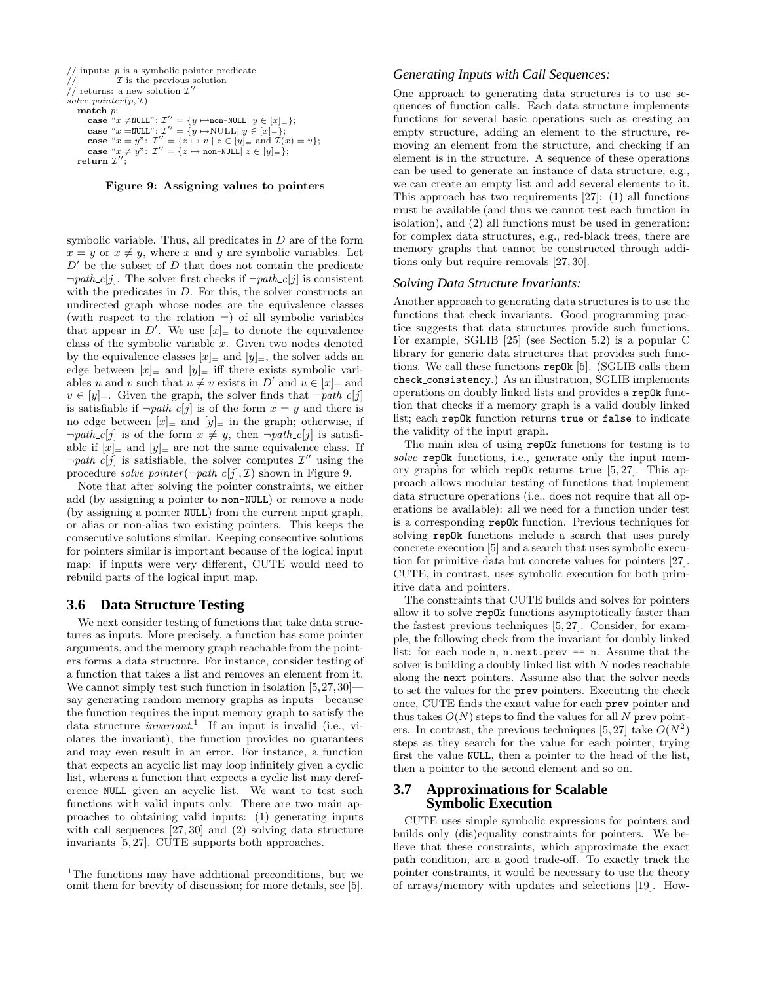```
// inputs: p is a symbolic pointer predicate
\mathcal{I} \mathcal{I} is the previous solution
// returns: a new solution \mathcal{I}'solve\_pointer(p, \mathcal{I})match p:
         \textbf{case} \overset{a}{\cdot} x \neq \texttt{NULL} \text{': } \mathcal{I}^{\prime \prime} = \{ y \mapsto \texttt{non-NULL} \mid y \in [x] = \};case "x = NULL": \mathcal{I}'' = \{y \mapsto \text{NULL} | y \in [x]_{=} \};case "x = y": \mathcal{I}'' = \{z \mapsto v \mid z \in [y]_0 = \text{and } \mathcal{I}(x) = v\};case "x \neq y": \mathcal{I}'' = \{z \mapsto \text{non-NULL} | z \in [y]_{=}\};_{\rm return} \tau^{\prime\prime};
```
Figure 9: Assigning values to pointers

symbolic variable. Thus, all predicates in  $D$  are of the form  $x = y$  or  $x \neq y$ , where x and y are symbolic variables. Let  $D'$  be the subset of D that does not contain the predicate  $\neg path_c[j]$ . The solver first checks if  $\neg path_c[j]$  is consistent with the predicates in D. For this, the solver constructs an undirected graph whose nodes are the equivalence classes (with respect to the relation  $=$ ) of all symbolic variables that appear in D'. We use  $[x]_+$  to denote the equivalence class of the symbolic variable  $x$ . Given two nodes denoted by the equivalence classes  $[x]_$  and  $[y]_$ , the solver adds an edge between  $[x]_+$  and  $[y]_+$  iff there exists symbolic variables u and v such that  $u \neq v$  exists in D' and  $u \in [x]_+$  and  $v \in [y]_-.$  Given the graph, the solver finds that  $\neg path\_c[j]$ is satisfiable if  $\neg path_c[j]$  is of the form  $x = y$  and there is no edge between  $[x]_$  and  $[y]_$  in the graph; otherwise, if  $\neg path_c[j]$  is of the form  $x \neq y$ , then  $\neg path_c[j]$  is satisfiable if  $[x]_$  and  $[y]_$  are not the same equivalence class. If  $\neg path\_c[j]$  is satisfiable, the solver computes  $\mathcal{I}''$  using the procedure solve pointer( $\neg path_c[j], \mathcal{I}$ ) shown in Figure 9.

Note that after solving the pointer constraints, we either add (by assigning a pointer to non-NULL) or remove a node (by assigning a pointer NULL) from the current input graph, or alias or non-alias two existing pointers. This keeps the consecutive solutions similar. Keeping consecutive solutions for pointers similar is important because of the logical input map: if inputs were very different, CUTE would need to rebuild parts of the logical input map.

# **3.6 Data Structure Testing**

We next consider testing of functions that take data structures as inputs. More precisely, a function has some pointer arguments, and the memory graph reachable from the pointers forms a data structure. For instance, consider testing of a function that takes a list and removes an element from it. We cannot simply test such function in isolation  $[5,27,30]$ say generating random memory graphs as inputs—because the function requires the input memory graph to satisfy the data structure *invariant.*<sup>1</sup> If an input is invalid (i.e., violates the invariant), the function provides no guarantees and may even result in an error. For instance, a function that expects an acyclic list may loop infinitely given a cyclic list, whereas a function that expects a cyclic list may dereference NULL given an acyclic list. We want to test such functions with valid inputs only. There are two main approaches to obtaining valid inputs: (1) generating inputs with call sequences [27, 30] and (2) solving data structure invariants [5, 27]. CUTE supports both approaches.

## *Generating Inputs with Call Sequences:*

One approach to generating data structures is to use sequences of function calls. Each data structure implements functions for several basic operations such as creating an empty structure, adding an element to the structure, removing an element from the structure, and checking if an element is in the structure. A sequence of these operations can be used to generate an instance of data structure, e.g., we can create an empty list and add several elements to it. This approach has two requirements [27]: (1) all functions must be available (and thus we cannot test each function in isolation), and (2) all functions must be used in generation: for complex data structures, e.g., red-black trees, there are memory graphs that cannot be constructed through additions only but require removals [27, 30].

#### *Solving Data Structure Invariants:*

Another approach to generating data structures is to use the functions that check invariants. Good programming practice suggests that data structures provide such functions. For example, SGLIB [25] (see Section 5.2) is a popular C library for generic data structures that provides such functions. We call these functions repOk [5]. (SGLIB calls them check consistency.) As an illustration, SGLIB implements operations on doubly linked lists and provides a repOk function that checks if a memory graph is a valid doubly linked list; each repOk function returns true or false to indicate the validity of the input graph.

The main idea of using repOk functions for testing is to solve repOk functions, i.e., generate only the input memory graphs for which repOk returns true  $[5, 27]$ . This approach allows modular testing of functions that implement data structure operations (i.e., does not require that all operations be available): all we need for a function under test is a corresponding repOk function. Previous techniques for solving repOk functions include a search that uses purely concrete execution [5] and a search that uses symbolic execution for primitive data but concrete values for pointers [27]. CUTE, in contrast, uses symbolic execution for both primitive data and pointers.

The constraints that CUTE builds and solves for pointers allow it to solve repOk functions asymptotically faster than the fastest previous techniques [5, 27]. Consider, for example, the following check from the invariant for doubly linked list: for each node n, n.next.prev == n. Assume that the solver is building a doubly linked list with  $N$  nodes reachable along the next pointers. Assume also that the solver needs to set the values for the prev pointers. Executing the check once, CUTE finds the exact value for each prev pointer and thus takes  $O(N)$  steps to find the values for all N prev pointers. In contrast, the previous techniques [5,27] take  $O(N^2)$ steps as they search for the value for each pointer, trying first the value NULL, then a pointer to the head of the list, then a pointer to the second element and so on.

# **3.7 Approximations for Scalable Symbolic Execution**

CUTE uses simple symbolic expressions for pointers and builds only (dis)equality constraints for pointers. We believe that these constraints, which approximate the exact path condition, are a good trade-off. To exactly track the pointer constraints, it would be necessary to use the theory of arrays/memory with updates and selections [19]. How-

<sup>&</sup>lt;sup>1</sup>The functions may have additional preconditions, but we omit them for brevity of discussion; for more details, see [5].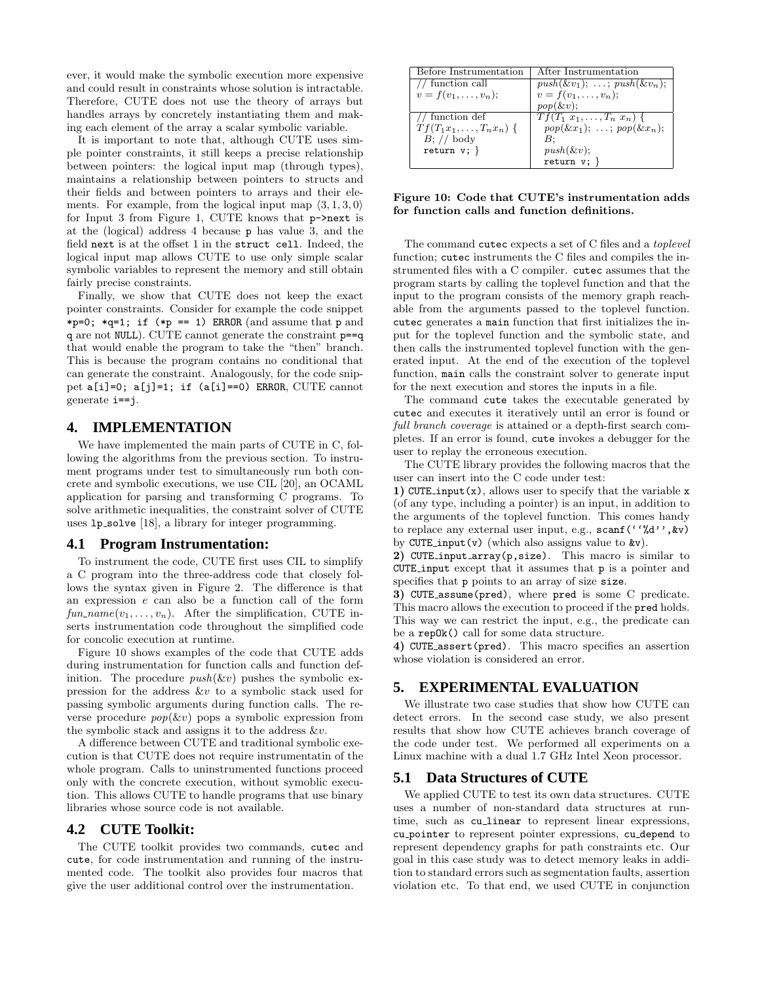ever, it would make the symbolic execution more expensive and could result in constraints whose solution is intractable. Therefore, CUTE does not use the theory of arrays but handles arrays by concretely instantiating them and making each element of the array a scalar symbolic variable.

It is important to note that, although CUTE uses simple pointer constraints, it still keeps a precise relationship between pointers: the logical input map (through types), maintains a relationship between pointers to structs and their fields and between pointers to arrays and their elements. For example, from the logical input map  $\langle 3, 1, 3, 0 \rangle$ for Input 3 from Figure 1, CUTE knows that p->next is at the (logical) address 4 because p has value 3, and the field next is at the offset 1 in the struct cell. Indeed, the logical input map allows CUTE to use only simple scalar symbolic variables to represent the memory and still obtain fairly precise constraints.

Finally, we show that CUTE does not keep the exact pointer constraints. Consider for example the code snippet \*p=0; \*q=1; if (\*p == 1) ERROR (and assume that p and q are not NULL). CUTE cannot generate the constraint p==q that would enable the program to take the "then" branch. This is because the program contains no conditional that can generate the constraint. Analogously, for the code snippet a[i]=0; a[j]=1; if (a[i]==0) ERROR, CUTE cannot generate i==j.

# **4. IMPLEMENTATION**

We have implemented the main parts of CUTE in C, following the algorithms from the previous section. To instrument programs under test to simultaneously run both concrete and symbolic executions, we use CIL [20], an OCAML application for parsing and transforming C programs. To solve arithmetic inequalities, the constraint solver of CUTE uses 1p\_solve [18], a library for integer programming.

# **4.1 Program Instrumentation:**

To instrument the code, CUTE first uses CIL to simplify a C program into the three-address code that closely follows the syntax given in Figure 2. The difference is that an expression e can also be a function call of the form  $fun_name(v_1, \ldots, v_n)$ . After the simplification, CUTE inserts instrumentation code throughout the simplified code for concolic execution at runtime.

Figure 10 shows examples of the code that CUTE adds during instrumentation for function calls and function definition. The procedure  $push(\&v)$  pushes the symbolic expression for the address &v to a symbolic stack used for passing symbolic arguments during function calls. The reverse procedure  $pop(kv)$  pops a symbolic expression from the symbolic stack and assigns it to the address  $&\&v$ .

A difference between CUTE and traditional symbolic execution is that CUTE does not require instrumentatin of the whole program. Calls to uninstrumented functions proceed only with the concrete execution, without symoblic execution. This allows CUTE to handle programs that use binary libraries whose source code is not available.

# **4.2 CUTE Toolkit:**

The CUTE toolkit provides two commands, cutec and cute, for code instrumentation and running of the instrumented code. The toolkit also provides four macros that give the user additional control over the instrumentation.

| Before Instrumentation       | After Instrumentation               |
|------------------------------|-------------------------------------|
| // function call             | $push(\&v_1); \ldots; push(\&v_n);$ |
| $v = f(v_1, \ldots, v_n);$   | $v = f(v_1, \ldots, v_n);$          |
|                              | $pop(\&v);$                         |
| $\overline{11}$ function def | $Tf(T_1 x_1,,T_n x_n)$ {            |
| $Tf(T_1x_1,,T_nx_n)$ {       | $pop(\& x_1); \ldots; pop(\& x_n);$ |
| $B$ ; // body                | В:                                  |
| return $v; \}$               | $push(\&v);$                        |
|                              | return $v;$ }                       |

## Figure 10: Code that CUTE's instrumentation adds for function calls and function definitions.

The command cutec expects a set of C files and a toplevel function; cutec instruments the C files and compiles the instrumented files with a C compiler. cutec assumes that the program starts by calling the toplevel function and that the input to the program consists of the memory graph reachable from the arguments passed to the toplevel function. cutec generates a main function that first initializes the input for the toplevel function and the symbolic state, and then calls the instrumented toplevel function with the generated input. At the end of the execution of the toplevel function, main calls the constraint solver to generate input for the next execution and stores the inputs in a file.

The command cute takes the executable generated by cutec and executes it iteratively until an error is found or full branch coverage is attained or a depth-first search completes. If an error is found, cute invokes a debugger for the user to replay the erroneous execution.

The CUTE library provides the following macros that the user can insert into the C code under test:

1) CUTE input $(x)$ , allows user to specify that the variable x (of any type, including a pointer) is an input, in addition to the arguments of the toplevel function. This comes handy to replace any external user input, e.g., scanf ('',"d'', &v) by CUTE input(v) (which also assigns value to  $x$ v).

2) CUTE input array(p, size). This macro is similar to CUTE input except that it assumes that p is a pointer and specifies that p points to an array of size size.

3) CUTE assume(pred), where pred is some C predicate. This macro allows the execution to proceed if the pred holds. This way we can restrict the input, e.g., the predicate can be a repOk() call for some data structure.

4) CUTE assert(pred). This macro specifies an assertion whose violation is considered an error.

# **5. EXPERIMENTAL EVALUATION**

We illustrate two case studies that show how CUTE can detect errors. In the second case study, we also present results that show how CUTE achieves branch coverage of the code under test. We performed all experiments on a Linux machine with a dual 1.7 GHz Intel Xeon processor.

# **5.1 Data Structures of CUTE**

We applied CUTE to test its own data structures. CUTE uses a number of non-standard data structures at runtime, such as cu<sub>linear</sub> to represent linear expressions, cu pointer to represent pointer expressions, cu depend to represent dependency graphs for path constraints etc. Our goal in this case study was to detect memory leaks in addition to standard errors such as segmentation faults, assertion violation etc. To that end, we used CUTE in conjunction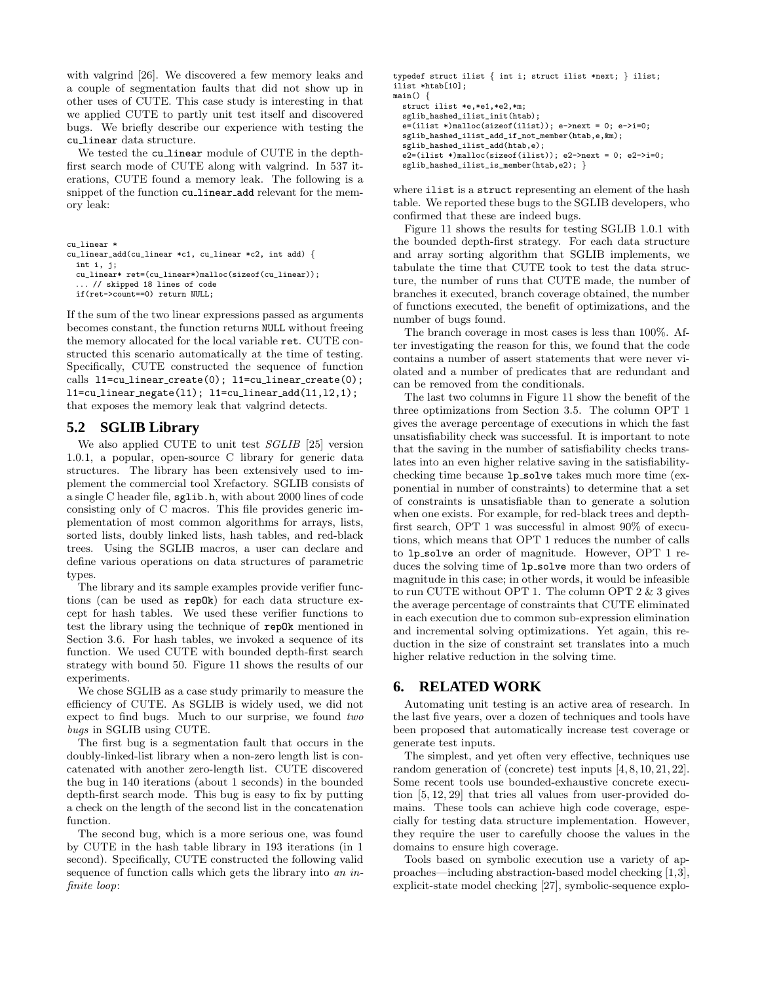with valgrind [26]. We discovered a few memory leaks and a couple of segmentation faults that did not show up in other uses of CUTE. This case study is interesting in that we applied CUTE to partly unit test itself and discovered bugs. We briefly describe our experience with testing the cu linear data structure.

We tested the cu<sub>-linear</sub> module of CUTE in the depthfirst search mode of CUTE along with valgrind. In 537 iterations, CUTE found a memory leak. The following is a snippet of the function cu linear add relevant for the memory leak:

cu\_linear \*

```
cu_linear_add(cu_linear *c1, cu_linear *c2, int add) {
```
int i, j; cu\_linear\* ret=(cu\_linear\*)malloc(sizeof(cu\_linear)); // skipped 18 lines of code

if(ret->count==0) return NULL;

If the sum of the two linear expressions passed as arguments becomes constant, the function returns NULL without freeing the memory allocated for the local variable ret. CUTE constructed this scenario automatically at the time of testing. Specifically, CUTE constructed the sequence of function calls  $11=cu_{linear\_create(0)}$ ;  $11=cu_{linear\_create(0)}$ ;  $l1 = cu_l$ linear negate $(l1);$   $l1 = cu_l$ linear  $add(l1, l2, 1);$ that exposes the memory leak that valgrind detects.

# **5.2 SGLIB Library**

We also applied CUTE to unit test SGLIB [25] version 1.0.1, a popular, open-source C library for generic data structures. The library has been extensively used to implement the commercial tool Xrefactory. SGLIB consists of a single C header file, sglib.h, with about 2000 lines of code consisting only of C macros. This file provides generic implementation of most common algorithms for arrays, lists, sorted lists, doubly linked lists, hash tables, and red-black trees. Using the SGLIB macros, a user can declare and define various operations on data structures of parametric types.

The library and its sample examples provide verifier functions (can be used as repOk) for each data structure except for hash tables. We used these verifier functions to test the library using the technique of repOk mentioned in Section 3.6. For hash tables, we invoked a sequence of its function. We used CUTE with bounded depth-first search strategy with bound 50. Figure 11 shows the results of our experiments.

We chose SGLIB as a case study primarily to measure the efficiency of CUTE. As SGLIB is widely used, we did not expect to find bugs. Much to our surprise, we found two bugs in SGLIB using CUTE.

The first bug is a segmentation fault that occurs in the doubly-linked-list library when a non-zero length list is concatenated with another zero-length list. CUTE discovered the bug in 140 iterations (about 1 seconds) in the bounded depth-first search mode. This bug is easy to fix by putting a check on the length of the second list in the concatenation function.

The second bug, which is a more serious one, was found by CUTE in the hash table library in 193 iterations (in 1 second). Specifically, CUTE constructed the following valid sequence of function calls which gets the library into an infinite loop:

```
typedef struct ilist { int i; struct ilist *next; } ilist;
ilist *htab[10];
main()struct ilist *e,*e1,*e2,*m;
  sglib_hashed_ilist_init(htab);
  e=(ilist *)malloc(sizeof(ilist)); e->next = 0; e->i=0;
  sglib_hashed_ilist_add_if_not_member(htab,e,&m);
  sglib_hashed_ilist_add(htab,e);
  e2=(ilist *)malloc(sizeof(ilist)); e2->next = 0; e2->i=0;
  sglib_hashed_ilist_is_member(htab,e2); }
```
where ilist is a struct representing an element of the hash table. We reported these bugs to the SGLIB developers, who confirmed that these are indeed bugs.

Figure 11 shows the results for testing SGLIB 1.0.1 with the bounded depth-first strategy. For each data structure and array sorting algorithm that SGLIB implements, we tabulate the time that CUTE took to test the data structure, the number of runs that CUTE made, the number of branches it executed, branch coverage obtained, the number of functions executed, the benefit of optimizations, and the number of bugs found.

The branch coverage in most cases is less than 100%. After investigating the reason for this, we found that the code contains a number of assert statements that were never violated and a number of predicates that are redundant and can be removed from the conditionals.

The last two columns in Figure 11 show the benefit of the three optimizations from Section 3.5. The column OPT 1 gives the average percentage of executions in which the fast unsatisfiability check was successful. It is important to note that the saving in the number of satisfiability checks translates into an even higher relative saving in the satisfiabilitychecking time because lp solve takes much more time (exponential in number of constraints) to determine that a set of constraints is unsatisfiable than to generate a solution when one exists. For example, for red-black trees and depthfirst search, OPT 1 was successful in almost 90% of executions, which means that OPT 1 reduces the number of calls to lp solve an order of magnitude. However, OPT 1 reduces the solving time of 1p\_solve more than two orders of magnitude in this case; in other words, it would be infeasible to run CUTE without OPT 1. The column OPT  $2 \& 3$  gives the average percentage of constraints that CUTE eliminated in each execution due to common sub-expression elimination and incremental solving optimizations. Yet again, this reduction in the size of constraint set translates into a much higher relative reduction in the solving time.

# **6. RELATED WORK**

Automating unit testing is an active area of research. In the last five years, over a dozen of techniques and tools have been proposed that automatically increase test coverage or generate test inputs.

The simplest, and yet often very effective, techniques use random generation of (concrete) test inputs [4, 8, 10, 21, 22]. Some recent tools use bounded-exhaustive concrete execution [5, 12, 29] that tries all values from user-provided domains. These tools can achieve high code coverage, especially for testing data structure implementation. However, they require the user to carefully choose the values in the domains to ensure high coverage.

Tools based on symbolic execution use a variety of approaches—including abstraction-based model checking [1,3], explicit-state model checking [27], symbolic-sequence explo-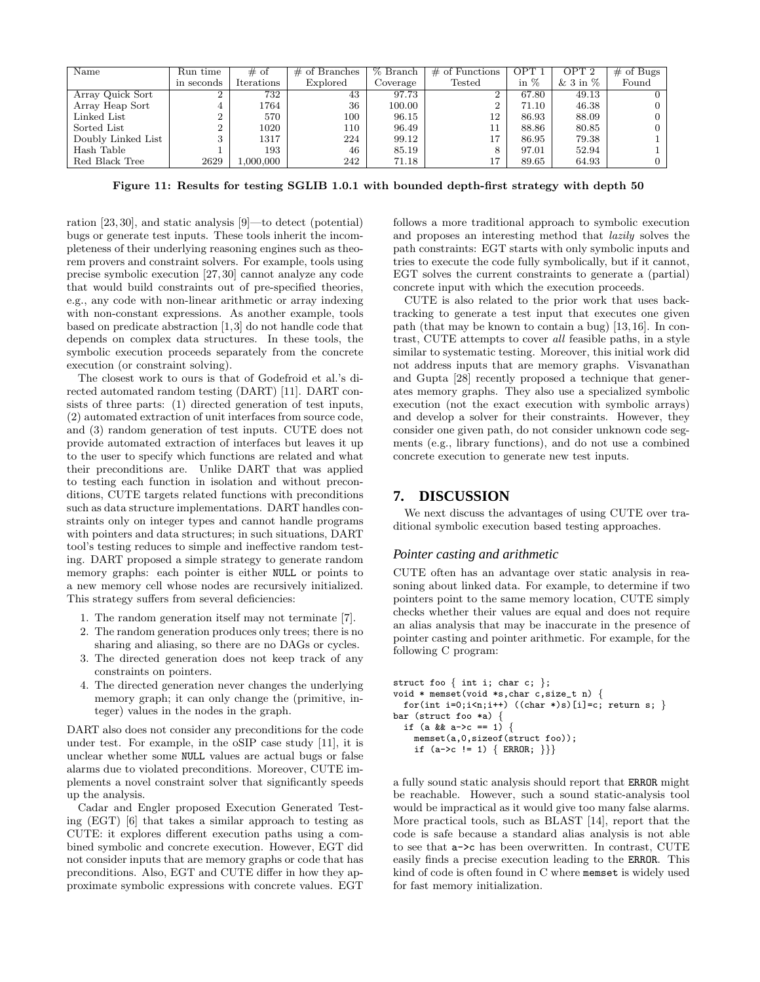| Name               | Run time   | $#$ of     | $\#$ of Branches | % Branch | $\#$ of Functions | OPT :  | OPT 2                | $#$ of Bugs    |
|--------------------|------------|------------|------------------|----------|-------------------|--------|----------------------|----------------|
|                    | in seconds | Iterations | Explored         | Coverage | Tested            | in $%$ | & $3 \text{ in } \%$ | Found          |
| Array Quick Sort   |            | 732        | 43               | 97.73    |                   | 67.80  | 49.13                |                |
| Array Heap Sort    |            | 1764       | 36               | 100.00   |                   | 71.10  | 46.38                | $\overline{0}$ |
| Linked List        |            | 570        | 100              | 96.15    | 12                | 86.93  | 88.09                | $0-1$          |
| Sorted List        |            | 1020       | 110              | 96.49    |                   | 88.86  | 80.85                | $\overline{0}$ |
| Doubly Linked List |            | 1317       | 224              | 99.12    | 17                | 86.95  | 79.38                |                |
| Hash Table         |            | 193        | 46               | 85.19    |                   | 97.01  | 52.94                |                |
| Red Black Tree     | 2629       | 000,000.   | 242              | 71.18    | 17                | 89.65  | 64.93                |                |

Figure 11: Results for testing SGLIB 1.0.1 with bounded depth-first strategy with depth 50

ration [23, 30], and static analysis [9]—to detect (potential) bugs or generate test inputs. These tools inherit the incompleteness of their underlying reasoning engines such as theorem provers and constraint solvers. For example, tools using precise symbolic execution [27, 30] cannot analyze any code that would build constraints out of pre-specified theories, e.g., any code with non-linear arithmetic or array indexing with non-constant expressions. As another example, tools based on predicate abstraction [1,3] do not handle code that depends on complex data structures. In these tools, the symbolic execution proceeds separately from the concrete execution (or constraint solving).

The closest work to ours is that of Godefroid et al.'s directed automated random testing (DART) [11]. DART consists of three parts: (1) directed generation of test inputs, (2) automated extraction of unit interfaces from source code, and (3) random generation of test inputs. CUTE does not provide automated extraction of interfaces but leaves it up to the user to specify which functions are related and what their preconditions are. Unlike DART that was applied to testing each function in isolation and without preconditions, CUTE targets related functions with preconditions such as data structure implementations. DART handles constraints only on integer types and cannot handle programs with pointers and data structures; in such situations, DART tool's testing reduces to simple and ineffective random testing. DART proposed a simple strategy to generate random memory graphs: each pointer is either NULL or points to a new memory cell whose nodes are recursively initialized. This strategy suffers from several deficiencies:

- 1. The random generation itself may not terminate [7].
- 2. The random generation produces only trees; there is no sharing and aliasing, so there are no DAGs or cycles.
- 3. The directed generation does not keep track of any constraints on pointers.
- 4. The directed generation never changes the underlying memory graph; it can only change the (primitive, integer) values in the nodes in the graph.

DART also does not consider any preconditions for the code under test. For example, in the oSIP case study [11], it is unclear whether some NULL values are actual bugs or false alarms due to violated preconditions. Moreover, CUTE implements a novel constraint solver that significantly speeds up the analysis.

Cadar and Engler proposed Execution Generated Testing (EGT) [6] that takes a similar approach to testing as CUTE: it explores different execution paths using a combined symbolic and concrete execution. However, EGT did not consider inputs that are memory graphs or code that has preconditions. Also, EGT and CUTE differ in how they approximate symbolic expressions with concrete values. EGT follows a more traditional approach to symbolic execution and proposes an interesting method that lazily solves the path constraints: EGT starts with only symbolic inputs and tries to execute the code fully symbolically, but if it cannot, EGT solves the current constraints to generate a (partial) concrete input with which the execution proceeds.

CUTE is also related to the prior work that uses backtracking to generate a test input that executes one given path (that may be known to contain a bug) [13, 16]. In contrast, CUTE attempts to cover all feasible paths, in a style similar to systematic testing. Moreover, this initial work did not address inputs that are memory graphs. Visvanathan and Gupta [28] recently proposed a technique that generates memory graphs. They also use a specialized symbolic execution (not the exact execution with symbolic arrays) and develop a solver for their constraints. However, they consider one given path, do not consider unknown code segments (e.g., library functions), and do not use a combined concrete execution to generate new test inputs.

# **7. DISCUSSION**

We next discuss the advantages of using CUTE over traditional symbolic execution based testing approaches.

## *Pointer casting and arithmetic*

CUTE often has an advantage over static analysis in reasoning about linked data. For example, to determine if two pointers point to the same memory location, CUTE simply checks whether their values are equal and does not require an alias analysis that may be inaccurate in the presence of pointer casting and pointer arithmetic. For example, for the following C program:

```
struct foo { int i; char c; };
void * memset(void *s,char c,size_t n) {
  for(int i=0;i\langle n; i+1 \rangle ((char *)s)[i]=c; return s; }
bar (struct foo *a) {
  if (a && a->c == 1) {
    memset(a,0,sizeof(struct foo));
    if (a->c != 1) { ERROR; }
```
a fully sound static analysis should report that ERROR might be reachable. However, such a sound static-analysis tool would be impractical as it would give too many false alarms. More practical tools, such as BLAST [14], report that the code is safe because a standard alias analysis is not able to see that a->c has been overwritten. In contrast, CUTE easily finds a precise execution leading to the ERROR. This kind of code is often found in C where memset is widely used for fast memory initialization.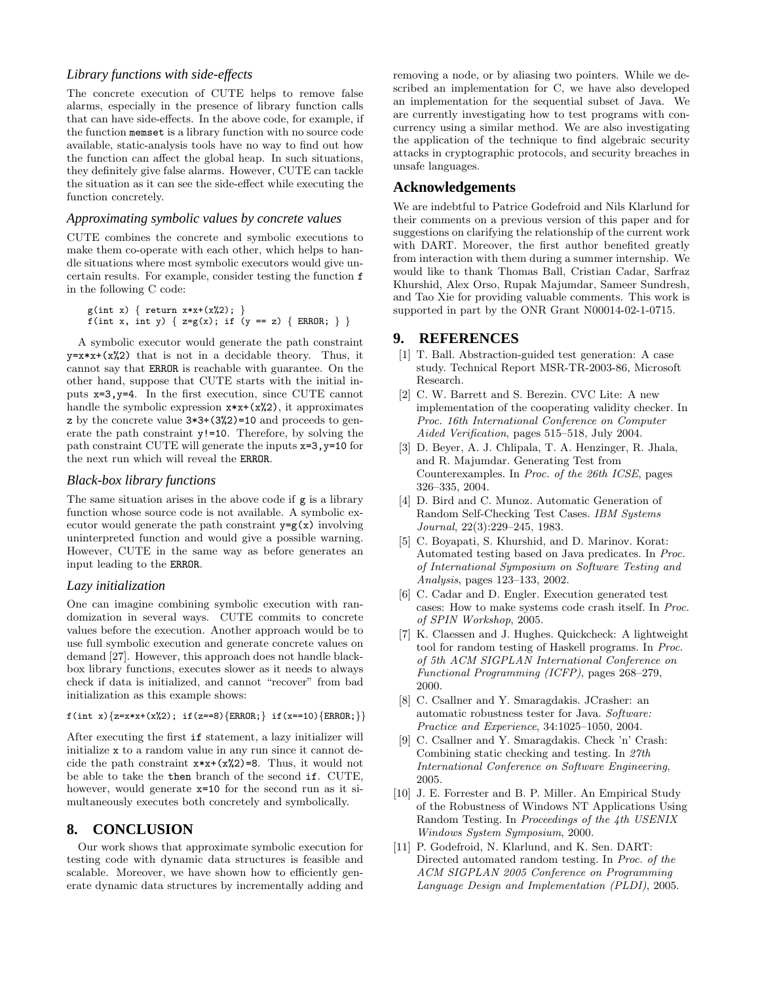# *Library functions with side-effects*

The concrete execution of CUTE helps to remove false alarms, especially in the presence of library function calls that can have side-effects. In the above code, for example, if the function memset is a library function with no source code available, static-analysis tools have no way to find out how the function can affect the global heap. In such situations, they definitely give false alarms. However, CUTE can tackle the situation as it can see the side-effect while executing the function concretely.

## *Approximating symbolic values by concrete values*

CUTE combines the concrete and symbolic executions to make them co-operate with each other, which helps to handle situations where most symbolic executors would give uncertain results. For example, consider testing the function f in the following C code:

```
g(int x) { return x*x+(x%2); }
f(int x, int y) { z=g(x); if (y == z) { ERROR; } }
```
A symbolic executor would generate the path constraint  $y=x*x+(x\&2)$  that is not in a decidable theory. Thus, it cannot say that ERROR is reachable with guarantee. On the other hand, suppose that CUTE starts with the initial inputs x=3,y=4. In the first execution, since CUTE cannot handle the symbolic expression  $x*x+(x\%2)$ , it approximates z by the concrete value 3\*3+(3%2)=10 and proceeds to generate the path constraint y!=10. Therefore, by solving the path constraint CUTE will generate the inputs x=3,y=10 for the next run which will reveal the ERROR.

## *Black-box library functions*

The same situation arises in the above code if g is a library function whose source code is not available. A symbolic executor would generate the path constraint  $y=g(x)$  involving uninterpreted function and would give a possible warning. However, CUTE in the same way as before generates an input leading to the ERROR.

# *Lazy initialization*

One can imagine combining symbolic execution with randomization in several ways. CUTE commits to concrete values before the execution. Another approach would be to use full symbolic execution and generate concrete values on demand [27]. However, this approach does not handle blackbox library functions, executes slower as it needs to always check if data is initialized, and cannot "recover" from bad initialization as this example shows:

```
f(int x){z=x*x+(x%2); if(z==8){ERROR;} if(x==10){ERROR;}}
```
After executing the first if statement, a lazy initializer will initialize x to a random value in any run since it cannot decide the path constraint  $x*x+(x\frac{0}{2})=8$ . Thus, it would not be able to take the then branch of the second if. CUTE, however, would generate  $x=10$  for the second run as it simultaneously executes both concretely and symbolically.

# **8. CONCLUSION**

Our work shows that approximate symbolic execution for testing code with dynamic data structures is feasible and scalable. Moreover, we have shown how to efficiently generate dynamic data structures by incrementally adding and removing a node, or by aliasing two pointers. While we described an implementation for C, we have also developed an implementation for the sequential subset of Java. We are currently investigating how to test programs with concurrency using a similar method. We are also investigating the application of the technique to find algebraic security attacks in cryptographic protocols, and security breaches in unsafe languages.

## **Acknowledgements**

We are indebtful to Patrice Godefroid and Nils Klarlund for their comments on a previous version of this paper and for suggestions on clarifying the relationship of the current work with DART. Moreover, the first author benefited greatly from interaction with them during a summer internship. We would like to thank Thomas Ball, Cristian Cadar, Sarfraz Khurshid, Alex Orso, Rupak Majumdar, Sameer Sundresh, and Tao Xie for providing valuable comments. This work is supported in part by the ONR Grant N00014-02-1-0715.

# **9. REFERENCES**

- [1] T. Ball. Abstraction-guided test generation: A case study. Technical Report MSR-TR-2003-86, Microsoft Research.
- [2] C. W. Barrett and S. Berezin. CVC Lite: A new implementation of the cooperating validity checker. In Proc. 16th International Conference on Computer Aided Verification, pages 515–518, July 2004.
- [3] D. Beyer, A. J. Chlipala, T. A. Henzinger, R. Jhala, and R. Majumdar. Generating Test from Counterexamples. In Proc. of the 26th ICSE, pages 326–335, 2004.
- [4] D. Bird and C. Munoz. Automatic Generation of Random Self-Checking Test Cases. IBM Systems Journal, 22(3):229–245, 1983.
- [5] C. Boyapati, S. Khurshid, and D. Marinov. Korat: Automated testing based on Java predicates. In Proc. of International Symposium on Software Testing and Analysis, pages 123–133, 2002.
- [6] C. Cadar and D. Engler. Execution generated test cases: How to make systems code crash itself. In Proc. of SPIN Workshop, 2005.
- [7] K. Claessen and J. Hughes. Quickcheck: A lightweight tool for random testing of Haskell programs. In Proc. of 5th ACM SIGPLAN International Conference on Functional Programming (ICFP), pages 268–279, 2000.
- [8] C. Csallner and Y. Smaragdakis. JCrasher: an automatic robustness tester for Java. Software: Practice and Experience, 34:1025–1050, 2004.
- [9] C. Csallner and Y. Smaragdakis. Check 'n' Crash: Combining static checking and testing. In 27th International Conference on Software Engineering, 2005.
- [10] J. E. Forrester and B. P. Miller. An Empirical Study of the Robustness of Windows NT Applications Using Random Testing. In Proceedings of the 4th USENIX Windows System Symposium, 2000.
- [11] P. Godefroid, N. Klarlund, and K. Sen. DART: Directed automated random testing. In Proc. of the ACM SIGPLAN 2005 Conference on Programming Language Design and Implementation (PLDI), 2005.